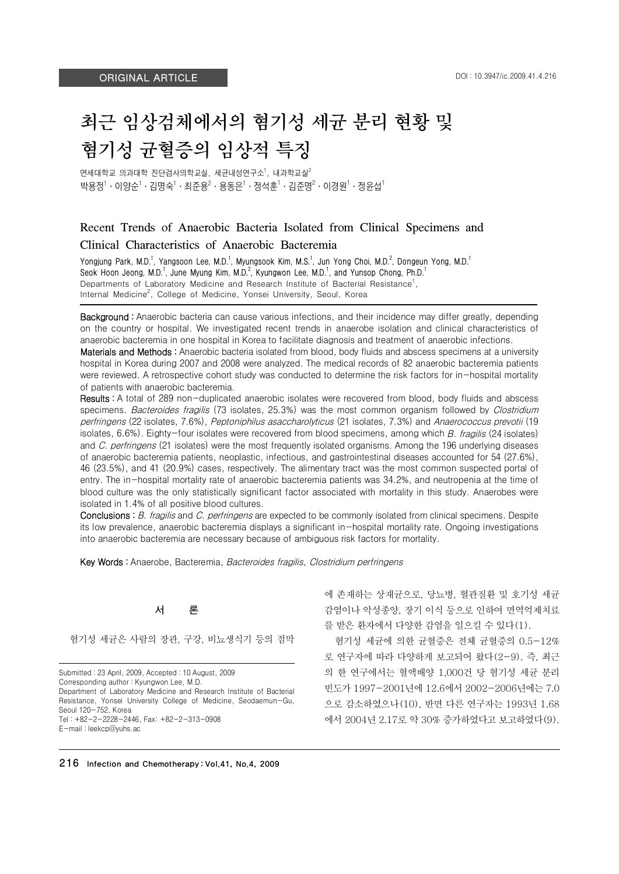# 최근 임상검체에서의 혐기성 세균 분리 현황 및 혐기성 균혈증의 임상적 특징

연세대학교 의과대학 진단검사의학교실, 세균내성연구소<sup>1</sup>, 내과학교실 $^2$ 박용정 $1 \cdot 0$ 양순 $1 \cdot 2$ 명숙 $1 \cdot 3$ 준용 $2 \cdot 8$ 동은 $1 \cdot 8$ 석훈 $1 \cdot 2$ 준명 $2 \cdot 0$ 경원 $1 \cdot 8$ 윤섭 $1$ 

# Recent Trends of Anaerobic Bacteria Isolated from Clinical Specimens and Clinical Characteristics of Anaerobic Bacteremia

Yongjung Park, M.D.<sup>1</sup>, Yangsoon Lee, M.D.<sup>1</sup>, Myungsook Kim, M.S.<sup>1</sup>, Jun Yong Choi, M.D.<sup>2</sup>, Dongeun Yong, M.D.<sup>1</sup> Seok Hoon Jeong, M.D.<sup>1</sup>, June Myung Kim, M.D.<sup>2</sup>, Kyungwon Lee, M.D.<sup>1</sup>, and Yunsop Chong, Ph.D.<sup>1</sup> Departments of Laboratory Medicine and Research Institute of Bacterial Resistance<sup>1</sup>, Internal Medicine<sup>2</sup>, College of Medicine, Yonsei University, Seoul, Korea

Background : Anaerobic bacteria can cause various infections, and their incidence may differ greatly, depending on the country or hospital. We investigated recent trends in anaerobe isolation and clinical characteristics of anaerobic bacteremia in one hospital in Korea to facilitate diagnosis and treatment of anaerobic infections.

Materials and Methods : Anaerobic bacteria isolated from blood, body fluids and abscess specimens at a university hospital in Korea during 2007 and 2008 were analyzed. The medical records of 82 anaerobic bacteremia patients were reviewed. A retrospective cohort study was conducted to determine the risk factors for in-hospital mortality of patients with anaerobic bacteremia.

Results : A total of 289 non-duplicated anaerobic isolates were recovered from blood, body fluids and abscess specimens. Bacteroides fragilis (73 isolates, 25.3%) was the most common organism followed by Clostridium perfringens (22 isolates, 7.6%), Peptoniphilus asaccharolyticus (21 isolates, 7.3%) and Anaerococcus prevotii (19 isolates, 6.6%). Eighty-four isolates were recovered from blood specimens, among which B. fragilis (24 isolates) and C. perfringens (21 isolates) were the most frequently isolated organisms. Among the 196 underlying diseases of anaerobic bacteremia patients, neoplastic, infectious, and gastrointestinal diseases accounted for 54 (27.6%), 46 (23.5%), and 41 (20.9%) cases, respectively. The alimentary tract was the most common suspected portal of entry. The in-hospital mortality rate of anaerobic bacteremia patients was 34.2%, and neutropenia at the time of blood culture was the only statistically significant factor associated with mortality in this study. Anaerobes were isolated in 1.4% of all positive blood cultures.

Conclusions : B. fragilis and C. perfringens are expected to be commonly isolated from clinical specimens. Despite its low prevalence, anaerobic bacteremia displays a significant in-hospital mortality rate. Ongoing investigations into anaerobic bacteremia are necessary because of ambiguous risk factors for mortality.

Key Words : Anaerobe, Bacteremia, Bacteroides fragilis, Clostridium perfringens

## 서 론

혐기성 세균은 사람의 장관, 구강, 비뇨생식기 등의 점막

Submitted : 23 April, 2009, Accepted : 10 August, 2009 Corresponding author : Kyungwon Lee, M.D. Department of Laboratory Medicine and Research Institute of Bacterial Resistance, Yonsei University College of Medicine, Seodaemun-Gu, Seoul 120-752, Korea Tel : +82-2-2228-2446, Fax: +82-2-313-0908 E-mail : leekcp@yuhs.ac

에 존재하는 상재균으로, 당뇨병, 혈관질환 및 호기성 세균 감염이나 악성종양, 장기 이식 등으로 인하여 면역억제치료 를 받은 환자에서 다양한 감염을 일으킬 수 있다(1).

혐기성 세균에 의한 균혈증은 전체 균혈증의 0.5-12% 로 연구자에 따라 다양하게 보고되어 왔다(2-9). 즉, 최근 의 한 연구에서는 혈액배양 1,000건 당 혐기성 세균 분리 빈도가 1997-2001년에 12.6에서 2002-2006년에는 7.0 으로 감소하였으나(10), 반면 다른 연구자는 1993년 1.68 에서 2004년 2.17로 약 30% 증가하였다고 보고하였다(9).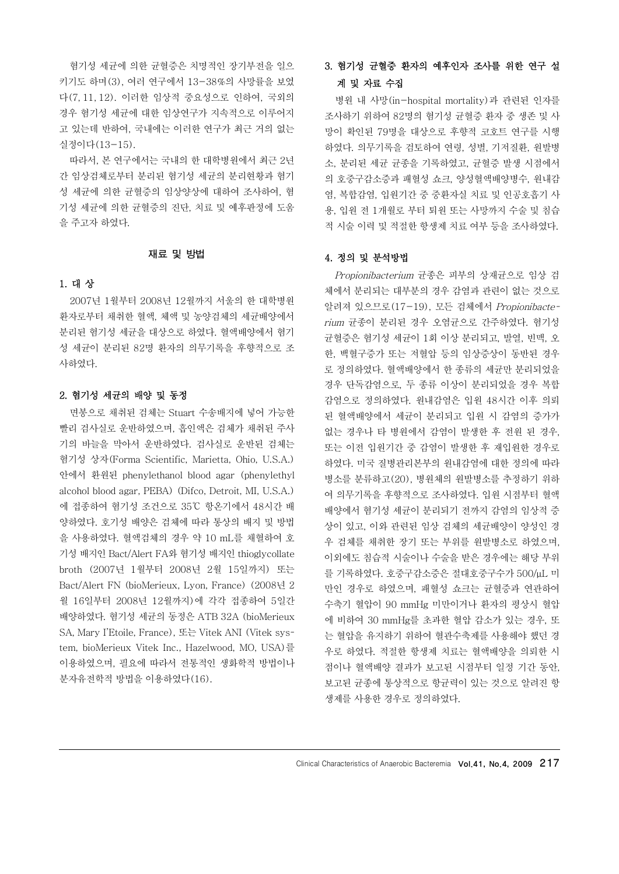혐기성 세균에 의한 균혈증은 치명적인 장기부전을 일으 키기도 하며(3), 여러 연구에서 13-38%의 사망률을 보였 다(7, 11, 12). 이러한 임상적 중요성으로 인하여, 국외의 경우 혐기성 세균에 대한 임상연구가 지속적으로 이루어지 고 있는데 반하여, 국내에는 이러한 연구가 최근 거의 없는 실정이다(13-15).

따라서, 본 연구에서는 국내의 한 대학병원에서 최근 2년 간 임상검체로부터 분리된 혐기성 세균의 분리현황과 혐기 성 세균에 의한 균혈증의 임상양상에 대하여 조사하여, 혐 기성 세균에 의한 균혈증의 진단, 치료 및 예후판정에 도움 을 주고자 하였다.

## 재료 및 방법

## 1. 대 상

2007년 1월부터 2008년 12월까지 서울의 한 대학병원 환자로부터 채취한 혈액, 체액 및 농양검체의 세균배양에서 분리된 혐기성 세균을 대상으로 하였다. 혈액배양에서 혐기 성 세균이 분리된 82명 환자의 의무기록을 후향적으로 조 사하였다.

#### 2. 혐기성 세균의 배양 및 동정

면봉으로 채취된 검체는 Stuart 수송배지에 넣어 가능한 빨리 검사실로 운반하였으며, 흡인액은 검체가 채취된 주사 기의 바늘을 막아서 운반하였다. 검사실로 운반된 검체는 혐기성 상자(Forma Scientific, Marietta, Ohio, U.S.A.) 안에서 환원된 phenylethanol blood agar (phenylethyl alcohol blood agar, PEBA) (Difco, Detroit, MI, U.S.A.) 에 접종하여 혐기성 조건으로 35℃ 항온기에서 48시간 배 양하였다. 호기성 배양은 검체에 따라 통상의 배지 및 방법 을 사용하였다. 혈액검체의 경우 약 10 mL를 채혈하여 호 기성 배지인 Bact/Alert FA와 혐기성 배지인 thioglycollate broth (2007년 1월부터 2008년 2월 15일까지) 또는 Bact/Alert FN (bioMerieux, Lyon, France) (2008년 2 월 16일부터 2008년 12월까지)에 각각 접종하여 5일간 배양하였다. 혐기성 세균의 동정은 ATB 32A (bioMerieux SA, Mary I'Etoile, France), 또는 Vitek ANI (Vitek system, bioMerieux Vitek Inc., Hazelwood, MO, USA)를 이용하였으며, 필요에 따라서 전통적인 생화학적 방법이나 분자유전학적 방법을 이용하였다(16).

# 3. 혐기성 균혈증 환자의 예후인자 조사를 위한 연구 설 계 및 자료 수집

병원 내 사망(in-hospital mortality)과 관련된 인자를 조사하기 위하여 82명의 혐기성 균혈증 환자 중 생존 및 사 망이 확인된 79명을 대상으로 후향적 코호트 연구를 시행 하였다. 의무기록을 검토하여 연령, 성별, 기저질환, 원발병 소, 분리된 세균 균종을 기록하였고, 균혈증 발생 시점에서 의 호중구감소증과 패혈성 쇼크, 양성혈액배양병수, 원내감 염, 복합감염, 입원기간 중 중환자실 치료 및 인공호흡기 사 용, 입원 전 1개월로 부터 퇴원 또는 사망까지 수술 및 침습 적 시술 이력 및 적절한 항생제 치료 여부 등을 조사하였다.

## 4. 정의 및 분석방법

Propionibacterium 균종은 피부의 상재균으로 임상 검 체에서 분리되는 대부분의 경우 감염과 관련이 없는 것으로 알려져 있으므로(17-19), 모든 검체에서 Propionibacterium 균종이 분리된 경우 오염균으로 간주하였다. 혐기성 균혈증은 혐기성 세균이 1회 이상 분리되고, 발열, 빈맥, 오 한, 백혈구증가 또는 저혈압 등의 임상증상이 동반된 경우 로 정의하였다. 혈액배양에서 한 종류의 세균만 분리되었을 경우 단독감염으로, 두 종류 이상이 분리되었을 경우 복합 감염으로 정의하였다. 원내감염은 입원 48시간 이후 의뢰 된 혈액배양에서 세균이 분리되고 입원 시 감염의 증가가 없는 경우나 타 병원에서 감염이 발생한 후 전원 된 경우, 또는 이전 입원기간 중 감염이 발생한 후 재입원한 경우로 하였다. 미국 질병관리본부의 원내감염에 대한 정의에 따라 병소를 분류하고(20), 병원체의 원발병소를 추정하기 위하 여 의무기록을 후향적으로 조사하였다. 입원 시점부터 혈액 배양에서 혐기성 세균이 분리되기 전까지 감염의 임상적 증 상이 있고, 이와 관련된 임상 검체의 세균배양이 양성인 경 우 검체를 채취한 장기 또는 부위를 원발병소로 하였으며, 이외에도 침습적 시술이나 수술을 받은 경우에는 해당 부위 를 기록하였다. 호중구감소증은 절대호중구수가 500/μL 미 만인 경우로 하였으며, 패혈성 쇼크는 균혈증과 연관하여 수축기 혈압이 90 mmHg 미만이거나 환자의 평상시 혈압 에 비하여 30 mmHg를 초과한 혈압 감소가 있는 경우, 또 는 혈압을 유지하기 위하여 혈관수축제를 사용해야 했던 경 우로 하였다. 적절한 항생제 치료는 혈액배양을 의뢰한 시 점이나 혈액배양 결과가 보고된 시점부터 일정 기간 동안, 보고된 균종에 통상적으로 항균력이 있는 것으로 알려진 항 생제를 사용한 경우로 정의하였다.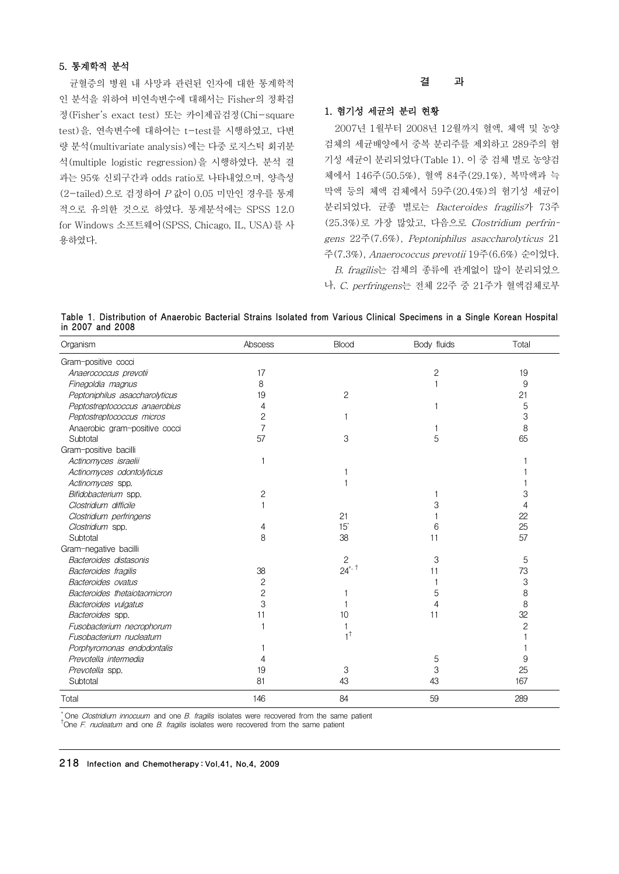## 5. 통계학적 분석

균혈증의 병원 내 사망과 관련된 인자에 대한 통계학적 인 분석을 위하여 비연속변수에 대해서는 Fisher의 정확검 정(Fisher's exact test) 또는 카이제곱검정(Chi-square test)을, 연속변수에 대하여는 t-test를 시행하였고, 다변 량 분석(multivariate analysis)에는 다중 로지스틱 회귀분 석(multiple logistic regression)을 시행하였다. 분석 결 과는 95% 신뢰구간과 odds ratio로 나타내었으며, 양측성 (2-tailed)으로 검정하여 P 값이 0.05 미만인 경우를 통계 적으로 유의한 것으로 하였다. 통계분석에는 SPSS 12.0 for Windows 소프트웨어(SPSS, Chicago, IL, USA)를 사 용하였다.

#### 결 과

## 1. 혐기성 세균의 분리 현황

2007년 1월부터 2008년 12월까지 혈액, 체액 및 농양 검체의 세균배양에서 중복 분리주를 제외하고 289주의 혐 기성 세균이 분리되었다(Table 1). 이 중 검체 별로 농양검 체에서 146주(50.5%), 혈액 84주(29.1%), 복막액과 늑 막액 등의 체액 검체에서 59주(20.4%)의 혐기성 세균이 분리되었다. 균종 별로는 Bacteroides fragilis가 73주 (25.3%)로 가장 많았고, 다음으로 Clostridium perfringens 22주(7.6%), Peptoniphilus asaccharolyticus 21 주(7.3%), Anaerococcus prevotii 19주(6.6%) 순이었다. B. fragilis는 검체의 종류에 관계없이 많이 분리되었으

나, C. perfringens는 전체 22주 중 21주가 혈액검체로부

Table 1. Distribution of Anaerobic Bacterial Strains Isolated from Various Clinical Specimens in a Single Korean Hospital in 2007 and 2008

| Organism                       | Abscess | Blood         | Body fluids  | Total          |
|--------------------------------|---------|---------------|--------------|----------------|
| Gram-positive cocci            |         |               |              |                |
| Anaerococcus prevotii          | 17      |               | $\mathbf{2}$ | 19             |
| Finegoldia magnus              | 8       |               |              | 9              |
| Peptoniphilus asaccharolyticus | 19      | $\mathbf{2}$  |              | 21             |
| Peptostreptococcus anaerobius  | 4       |               |              | 5              |
| Peptostreptococcus micros      | 2       |               |              | 3              |
| Anaerobic gram-positive cocci  | 7       |               |              | 8              |
| Subtotal                       | 57      | 3             | 5            | 65             |
| Gram-positive bacilli          |         |               |              |                |
| Actinomyces israelii           |         |               |              |                |
| Actinomyces odontolyticus      |         |               |              |                |
| Actinomyces spp.               |         |               |              |                |
| Bifidobacterium spp.           | 2       |               |              | 3              |
| Clostridium difficile          |         |               |              | 4              |
| Clostridium perfringens        |         | 21            |              | 22             |
| Clostridium spp.               | 4       | $15^*$        | 6            | 25             |
| Subtotal                       | 8       | 38            | 11           | 57             |
| Gram-negative bacilli          |         |               |              |                |
| Bacteroides distasonis         |         | $\mathbf{2}$  | 3            | 5              |
| Bacteroides fragilis           | 38      | $24^{*}$ , t  | 11           | 73             |
| Bacteroides ovatus             | 2       |               |              | 3              |
| Bacteroides thetaiotaomicron   | 2       |               | 5            | 8              |
| Bacteroides vulgatus           | 3       |               |              | 8              |
| Bacteroides spp.               | 11      | 10            | 11           | 32             |
| Fusobacterium necrophorum      |         |               |              | $\overline{c}$ |
| Fusobacterium nucleatum        |         | $1^{\dagger}$ |              |                |
| Porphyromonas endodontalis     |         |               |              |                |
| Prevotella intermedia          | 4       |               | 5            | 9              |
| Prevotella spp.                | 19      | 3             | 3            | 25             |
| Subtotal                       | 81      | 43            | 43           | 167            |
| Total                          | 146     | 84            | 59           | 289            |

\* One*Clostridium innocuum* andone*B.fragilis*isolateswererecoveredfrom thesamepatient †One*F.nucleatum* andone*B.fragilis*isolateswererecoveredfrom thesamepatient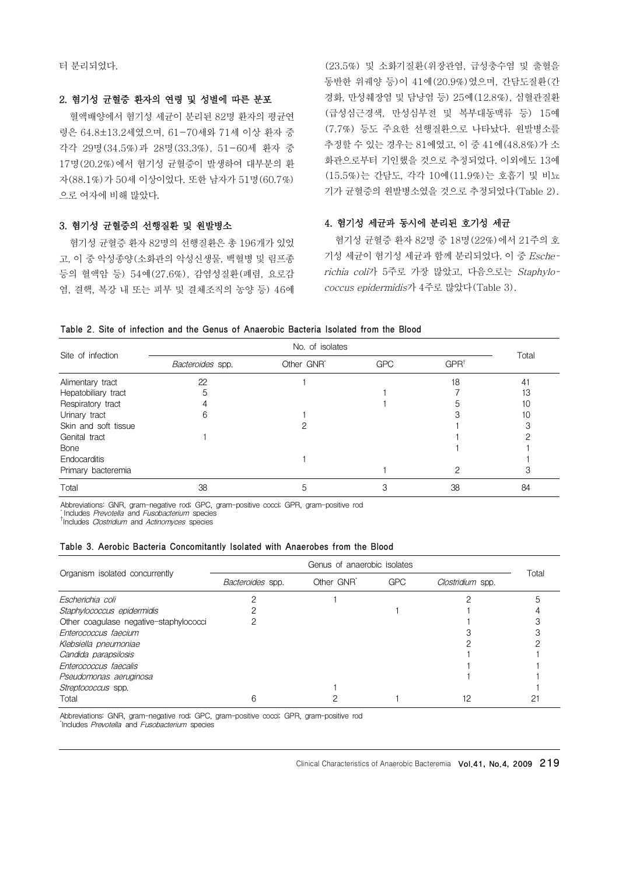터 분리되었다.

## 2. 혐기성 균혈증 환자의 연령 및 성별에 따른 분포

혈액배양에서 혐기성 세균이 분리된 82명 환자의 평균연 령은 64.8±13.2세였으며, 61-70세와 71세 이상 환자 중 각각 29명(34.5%)과 28명(33.3%), 51-60세 환자 중 17명(20.2%)에서 혐기성 균혈증이 발생하여 대부분의 환 자(88.1%)가 50세 이상이었다. 또한 남자가 51명(60.7%) 으로 여자에 비해 많았다.

## 3. 혐기성 균혈증의 선행질환 및 원발병소

혐기성 균혈증 환자 82명의 선행질환은 총 196개가 있었 고, 이 중 악성종양(소화관의 악성신생물, 백혈병 및 림프종 등의 혈액암 등) 54예(27.6%), 감염성질환(폐렴, 요로감 염, 결핵, 복강 내 또는 피부 및 결체조직의 농양 등) 46예

(23.5%) 및 소화기질환(위장관염, 급성충수염 및 출혈을 동반한 위궤양 등)이 41예(20.9%)였으며, 간담도질환(간 경화, 만성췌장염 및 담낭염 등) 25예(12.8%), 심혈관질환 (급성심근경색, 만성심부전 및 복부대동맥류 등) 15예 (7.7%) 등도 주요한 선행질환으로 나타났다. 원발병소를 추정할 수 있는 경우는 81예였고, 이 중 41예(48.8%)가 소 화관으로부터 기인했을 것으로 추정되었다. 이외에도 13예 (15.5%)는 간담도, 각각 10예(11.9%)는 호흡기 및 비뇨 기가 균혈증의 원발병소였을 것으로 추정되었다(Table 2).

## 4. 혐기성 세균과 동시에 분리된 호기성 세균

혐기성 균혈증 환자 82명 중 18명(22%)에서 21주의 호 기성 세균이 혐기성 세균과 함께 분리되었다. 이 중 Escherichia coli가 5주로 가장 많았고, 다음으로는 Staphylococcus epidermidis가 4주로 많았다(Table 3).

#### Table 2. Site of infection and the Genus of Anaerobic Bacteria Isolated from the Blood

| Site of infection    |                  |                        |            |                  |       |
|----------------------|------------------|------------------------|------------|------------------|-------|
|                      | Bacteroides spp. | Other GNR <sup>*</sup> | <b>GPC</b> | GPR <sup>†</sup> | Total |
| Alimentary tract     | 22               |                        |            | 18               | 41    |
| Hepatobiliary tract  |                  |                        |            |                  | 13    |
| Respiratory tract    |                  |                        |            |                  | 10    |
| Urinary tract        | h                |                        |            |                  | 10    |
| Skin and soft tissue |                  |                        |            |                  |       |
| Genital tract        |                  |                        |            |                  |       |
| Bone                 |                  |                        |            |                  |       |
| Endocarditis         |                  |                        |            |                  |       |
| Primary bacteremia   |                  |                        |            |                  | З     |
| Total                | 38               | 5                      | З          | 38               | 84    |

Abbreviations: GNR, gram-negative rod; GPC, gram-positive cocci; GPR, gram-positive rod<br>\*Includes *Prevotella* and *Fusobacterium* species<br><sup>†</sup>Includes *Clostridium* and *Actinomyces* species

#### Table 3. Aerobic Bacteria Concomitantly Isolated with Anaerobes from the Blood

|                                        | Genus of anaerobic isolates |                        |            |                  |       |  |
|----------------------------------------|-----------------------------|------------------------|------------|------------------|-------|--|
| Organism isolated concurrently         | Bacteroides spp.            | Other GNR <sup>*</sup> | <b>GPC</b> | Clostridium spp. | Total |  |
| Escherichia coli                       |                             |                        |            |                  |       |  |
| Staphylococcus epidermidis             |                             |                        |            |                  |       |  |
| Other coagulase negative-staphylococci |                             |                        |            |                  |       |  |
| Enterococcus faecium                   |                             |                        |            |                  |       |  |
| Klebsiella pneumoniae                  |                             |                        |            |                  |       |  |
| Candida parapsilosis                   |                             |                        |            |                  |       |  |
| Enterococcus faecalis                  |                             |                        |            |                  |       |  |
| Pseudomonas aeruginosa                 |                             |                        |            |                  |       |  |
| Streptococcus spp.                     |                             |                        |            |                  |       |  |
| Total                                  |                             |                        |            |                  |       |  |

Abbreviations: GNR, gram-negative rod; GPC, gram-positive cocci; GPR, gram-positive rod<br><sup>\*</sup>Includes *Prevotella* and *Fusobacterium* species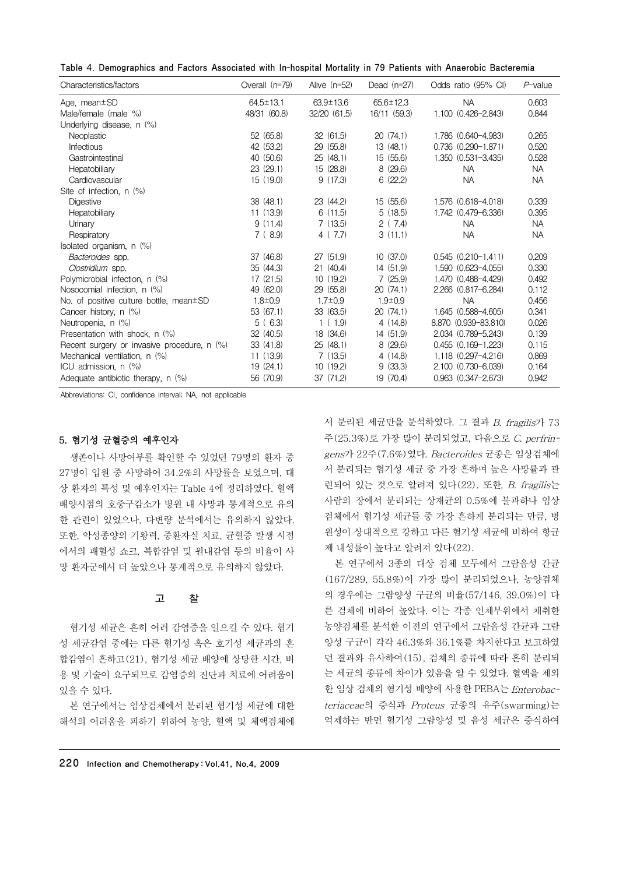|  |  |  |  |  |  |  | Table 4. Demographics and Factors Associated with In-hospital Mortality in 79 Patients with Anaerobic Bacteremia |
|--|--|--|--|--|--|--|------------------------------------------------------------------------------------------------------------------|
|--|--|--|--|--|--|--|------------------------------------------------------------------------------------------------------------------|

| Characteristics/factors                       | Overall (n=79)  | Alive $(n=52)$  | Dead $(n=27)$   | Odds ratio (95% CI)       | $P$ -value |
|-----------------------------------------------|-----------------|-----------------|-----------------|---------------------------|------------|
| Age, mean $\pm$ SD                            | $64.5 \pm 13.1$ | $63.9 \pm 13.6$ | $65.6 \pm 12.3$ | <b>NA</b>                 | 0.603      |
| Male/female (male %)                          | 48/31 (60.8)    | 32/20 (61.5)    | 16/11 (59.3)    | 1.100 (0.426-2.843)       | 0.844      |
| Underlying disease, n (%)                     |                 |                 |                 |                           |            |
| <b>Neoplastic</b>                             | 52 (65.8)       | 32(61.5)        | 20(74.1)        | 1.786 (0.640-4.983)       | 0.265      |
| Infectious                                    | 42 (53.2)       | 29(55.8)        | 13(48.1)        | $0.736$ $(0.290 - 1.871)$ | 0.520      |
| Gastrointestinal                              | 40 (50.6)       | 25(48.1)        | 15 (55.6)       | 1.350 (0.531-3.435)       | 0.528      |
| Hepatobiliary                                 | 23 (29.1)       | 15 (28.8)       | 8(29.6)         | <b>NA</b>                 | <b>NA</b>  |
| Cardiovascular                                | 15(19.0)        | 9(17.3)         | 6(22.2)         | <b>NA</b>                 | <b>NA</b>  |
| Site of infection, n (%)                      |                 |                 |                 |                           |            |
| <b>Digestive</b>                              | 38(48.1)        | 23(44.2)        | 15 (55.6)       | 1.576 (0.618-4.018)       | 0.339      |
| Hepatobiliary                                 | 11(13.9)        | 6(11.5)         | 5(18.5)         | 1.742 (0.479-6.336)       | 0.395      |
| Urinary                                       | 9(11.4)         | 7(13.5)         | 2(7.4)          | <b>NA</b>                 | <b>NA</b>  |
| Respiratory                                   | 7(8.9)          | 4(7.7)          | 3(11.1)         | <b>NA</b>                 | <b>NA</b>  |
| Isolated organism, $n$ $(\%)$                 |                 |                 |                 |                           |            |
| Bacteroides spp.                              | 37 (46.8)       | 27 (51.9)       | 10(37.0)        | $0.545(0.210-1.411)$      | 0.209      |
| Clostridium spp.                              | 35(44.3)        | 21(40.4)        | 14 (51.9)       | 1.590 (0.623-4.055)       | 0.330      |
| Polymicrobial infection, n (%)                | 17(21.5)        | 10(19.2)        | 7(25.9)         | 1.470 (0.488-4.429)       | 0.492      |
| Nosocomial infection, n (%)                   | 49 (62.0)       | 29(55.8)        | 20(74.1)        | 2.266 (0.817-6.284)       | 0.112      |
| No. of positive culture bottle, mean±SD       | $1.8 \pm 0.9$   | $1.7 \pm 0.9$   | $1.9 + 0.9$     | <b>NA</b>                 | 0.456      |
| Cancer history, n (%)                         | 53 (67.1)       | 33 (63.5)       | 20(74.1)        | 1.645 (0.588-4.605)       | 0.341      |
| Neutropenia, n (%)                            | 5(6.3)          | 1(1.9)          | 4(14.8)         | 8.870 (0.939-83.810)      | 0.026      |
| Presentation with shock, n (%)                | 32(40.5)        | 18 (34.6)       | 14 (51.9)       | 2.034 (0.789-5.243)       | 0.139      |
| Recent surgery or invasive procedure, $n$ (%) | 33(41.8)        | 25(48.1)        | 8(29.6)         | $0.455$ $(0.169 - 1.223)$ | 0.115      |
| Mechanical ventilation, n (%)                 | 11(13.9)        | 7(13.5)         | 4(14.8)         | 1.118 (0.297-4.216)       | 0.869      |
| ICU admission, $n$ $(\%)$                     | 19(24.1)        | 10(19.2)        | 9(33.3)         | $2.100$ $(0.730 - 6.039)$ | 0.164      |
| Adequate antibiotic therapy, n (%)            | 56 (70.9)       | 37(71.2)        | 19 (70.4)       | $0.963$ $(0.347 - 2.673)$ | 0.942      |

Abbreviations: CI, confidence interval; NA, not applicable

## 5. 혐기성 균혈증의 예후인자

생존이나 사망여부를 확인할 수 있었던 79명의 환자 중 27명이 입원 중 사망하여 34.2%의 사망률을 보였으며, 대 상 환자의 특성 및 예후인자는 Table 4에 정리하였다. 혈액 배양시점의 호중구감소가 병원 내 사망과 통계적으로 유의 한 관련이 있었으나, 다변량 분석에서는 유의하지 않았다. 또한, 악성종양의 기왕력, 중환자실 치료, 균혈증 발생 시점 에서의 패혈성 쇼크, 복합감염 및 원내감염 등의 비율이 사 망 환자군에서 더 높았으나 통계적으로 유의하지 않았다.

## 고 찰

혐기성 세균은 흔히 여러 감염증을 일으킬 수 있다. 혐기 성 세균감염 중에는 다른 혐기성 혹은 호기성 세균과의 혼 합감염이 흔하고(21), 혐기성 세균 배양에 상당한 시간, 비 용 및 기술이 요구되므로 감염증의 진단과 치료에 어려움이 있을 수 있다.

본 연구에서는 임상검체에서 분리된 혐기성 세균에 대한 해석의 어려움을 피하기 위하여 농양, 혈액 및 체액검체에 서 분리된 세균만을 분석하였다. 그 결과 B. fragilis가 73 주(25.3%)로 가장 많이 분리되었고, 다음으로 C. perfringens가 22주(7.6%)였다. Bacteroides 균종은 임상검체에 서 분리되는 혐기성 세균 중 가장 흔하며 높은 사망률과 관 련되어 있는 것으로 알려져 있다(22). 또한, B. fragilis는 사람의 장에서 분리되는 상재균의 0.5%에 불과하나 임상 검체에서 혐기성 세균들 중 가장 흔하게 분리되는 만큼, 병 원성이 상대적으로 강하고 다른 혐기성 세균에 비하여 항균 제 내성률이 높다고 알려져 있다(22).

본 연구에서 3종의 대상 검체 모두에서 그람음성 간균 (167/289, 55.8%)이 가장 많이 분리되었으나, 농양검체 의 경우에는 그람양성 구균의 비율(57/146, 39.0%)이 다 른 검체에 비하여 높았다. 이는 각종 인체부위에서 채취한 농양검체를 분석한 이전의 연구에서 그람음성 간균과 그람 양성 구균이 각각 46.3%와 36.1%를 차지한다고 보고하였 던 결과와 유사하여(15), 검체의 종류에 따라 흔히 분리되 는 세균의 종류에 차이가 있음을 알 수 있었다. 혈액을 제외 한 임상 검체의 혐기성 배양에 사용한 PEBA는 Enterobacteriaceae의 증식과 Proteus 균종의 유주(swarming)는 억제하는 반면 혐기성 그람양성 및 음성 세균은 증식하여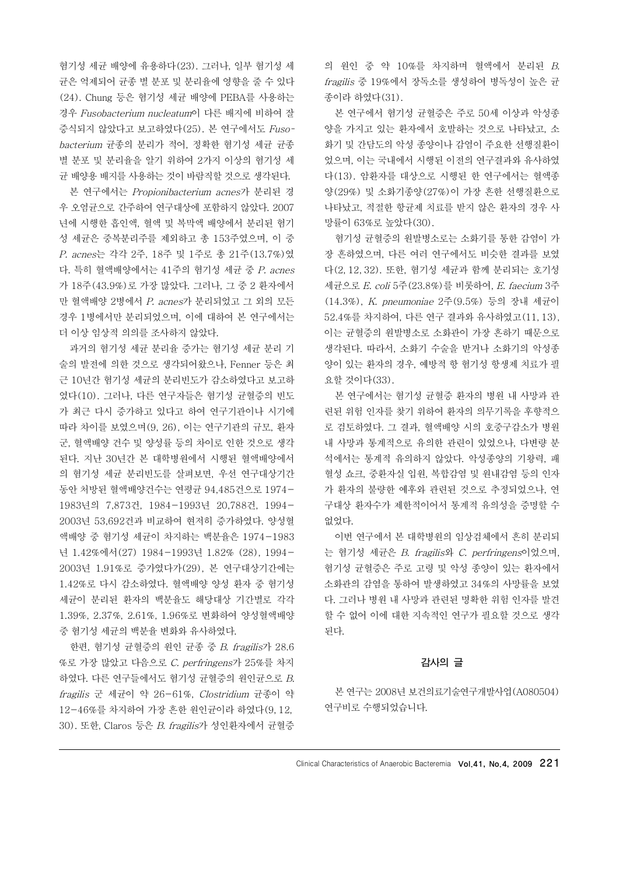혐기성 세균 배양에 유용하다(23). 그러나, 일부 혐기성 세 균은 억제되어 균종 별 분포 및 분리율에 영향을 줄 수 있다 (24). Chung 등은 혐기성 세균 배양에 PEBA를 사용하는 경우 Fusobacterium nucleatum이 다른 배지에 비하여 잘 증식되지 않았다고 보고하였다(25). 본 연구에서도 Fusobacterium 균종의 분리가 적어, 정확한 혐기성 세균 균종 별 분포 및 분리율을 알기 위하여 2가지 이상의 혐기성 세 균 배양용 배지를 사용하는 것이 바람직할 것으로 생각된다.

본 연구에서는 Propionibacterium acnes가 분리된 경 우 오염균으로 간주하여 연구대상에 포함하지 않았다. 2007 년에 시행한 흡인액, 혈액 및 복막액 배양에서 분리된 혐기 성 세균은 중복분리주를 제외하고 총 153주였으며, 이 중 P. acnes는 각각 2주, 18주 및 1주로 총 21주(13.7%)였 다. 특히 혈액배양에서는 41주의 혐기성 세균 중 P. acnes 가 18주(43.9%)로 가장 많았다. 그러나, 그 중 2 환자에서 만 혈액배양 2병에서 P. acnes가 분리되었고 그 외의 모든 경우 1병에서만 분리되었으며, 이에 대하여 본 연구에서는 더 이상 임상적 의의를 조사하지 않았다.

과거의 혐기성 세균 분리율 증가는 혐기성 세균 분리 기 술의 발전에 의한 것으로 생각되어왔으나, Fenner 등은 최 근 10년간 혐기성 세균의 분리빈도가 감소하였다고 보고하 였다(10). 그러나, 다른 연구자들은 혐기성 균혈증의 빈도 가 최근 다시 증가하고 있다고 하여 연구기관이나 시기에 따라 차이를 보였으며(9, 26), 이는 연구기관의 규모, 환자 군, 혈액배양 건수 및 양성률 등의 차이로 인한 것으로 생각 된다. 지난 30년간 본 대학병원에서 시행된 혈액배양에서 의 혐기성 세균 분리빈도를 살펴보면, 우선 연구대상기간 동안 처방된 혈액배양건수는 연평균 94,485건으로 1974- 1983년의 7,873건, 1984-1993년 20,788건, 1994- 2003년 53,692건과 비교하여 현저히 증가하였다. 양성혈 액배양 중 혐기성 세균이 차지하는 백분율은 1974-1983 년 1.42%에서(27) 1984-1993년 1.82% (28), 1994- 2003년 1.91%로 증가였다가(29), 본 연구대상기간에는 1.42%로 다시 감소하였다. 혈액배양 양성 환자 중 혐기성 세균이 분리된 환자의 백분율도 해당대상 기간별로 각각 1.39%, 2.37%, 2.61%, 1.96%로 변화하여 양성혈액배양 중 혐기성 세균의 백분율 변화와 유사하였다.

한편, 혐기성 균혈증의 원인 균종 중 B. fragilis가 28.6 %로 가장 많았고 다음으로 C. perfringens가 25%를 차지 하였다. 다른 연구들에서도 혐기성 균혈증의 원인균으로 B. fragilis 군 세균이 약 26-61%, Clostridium 균종이 약 12-46%를 차지하여 가장 흔한 원인균이라 하였다(9, 12, 30). 또한, Claros 등은 B. fragilis가 성인환자에서 균혈증 의 원인 중 약 10%를 차지하며 혈액에서 분리된 B. fragilis 중 19%에서 장독소를 생성하여 병독성이 높은 균 종이라 하였다(31).

본 연구에서 혐기성 균혈증은 주로 50세 이상과 악성종 양을 가지고 있는 환자에서 호발하는 것으로 나타났고, 소 화기 및 간담도의 악성 종양이나 감염이 주요한 선행질환이 었으며, 이는 국내에서 시행된 이전의 연구결과와 유사하였 다(13). 암환자를 대상으로 시행된 한 연구에서는 혈액종 양(29%) 및 소화기종양(27%)이 가장 흔한 선행질환으로 나타났고, 적절한 항균제 치료를 받지 않은 환자의 경우 사 망률이 63%로 높았다(30).

혐기성 균혈증의 원발병소로는 소화기를 통한 감염이 가 장 흔하였으며, 다른 여러 연구에서도 비슷한 결과를 보였 다(2, 12, 32). 또한, 혐기성 세균과 함께 분리되는 호기성 세균으로 E. coli 5주(23.8%)를 비롯하여, E. faecium 3주 (14.3%), K. pneumoniae 2주(9.5%) 등의 장내 세균이 52.4%를 차지하여, 다른 연구 결과와 유사하였고(11, 13), 이는 균혈증의 원발병소로 소화관이 가장 흔하기 때문으로 생각된다. 따라서, 소화기 수술을 받거나 소화기의 악성종 양이 있는 환자의 경우, 예방적 항 혐기성 항생제 치료가 필 요할 것이다(33).

본 연구에서는 혐기성 균혈증 환자의 병원 내 사망과 관 련된 위험 인자를 찾기 위하여 환자의 의무기록을 후향적으 로 검토하였다. 그 결과, 혈액배양 시의 호중구감소가 병원 내 사망과 통계적으로 유의한 관련이 있었으나, 다변량 분 석에서는 통계적 유의하지 않았다. 악성종양의 기왕력, 패 혈성 쇼크, 중환자실 입원, 복합감염 및 원내감염 등의 인자 가 환자의 불량한 예후와 관련된 것으로 추정되었으나, 연 구대상 환자수가 제한적이어서 통계적 유의성을 증명할 수 없었다.

이번 연구에서 본 대학병원의 임상검체에서 흔히 분리되 는 혐기성 세균은 B. fragilis와 C. perfringens이었으며, 혐기성 균혈증은 주로 고령 및 악성 종양이 있는 환자에서 소화관의 감염을 통하여 발생하였고 34%의 사망률을 보였 다. 그러나 병원 내 사망과 관련된 명확한 위험 인자를 발견 할 수 없어 이에 대한 지속적인 연구가 필요할 것으로 생각 된다.

## 감사의 글

본 연구는 2008년 보건의료기술연구개발사업(A080504) 연구비로 수행되었습니다.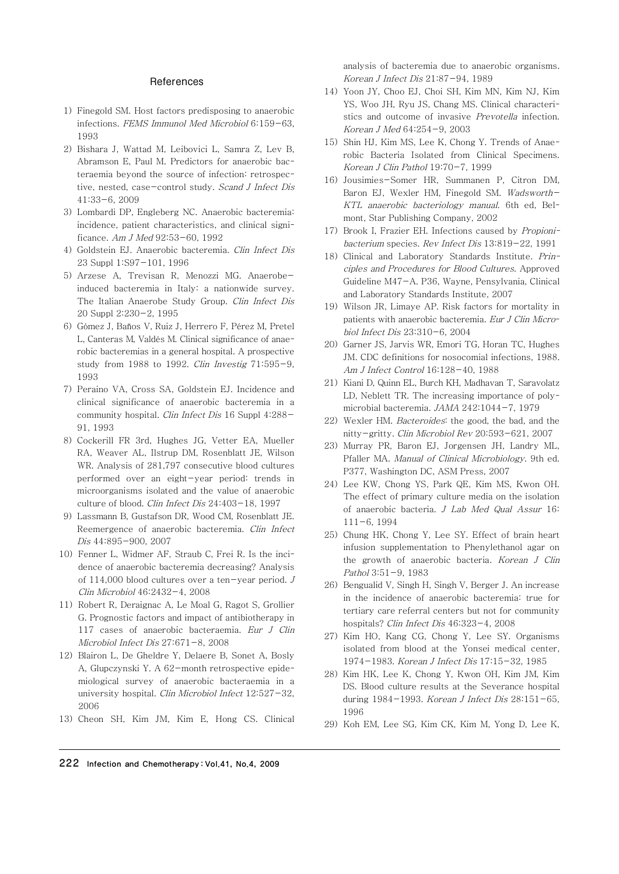#### References

- 1) Finegold SM. Host factors predisposing to anaerobic infections. FEMS Immunol Med Microbiol 6:159-63, 1993
- 2) Bishara J, Wattad M, Leibovici L, Samra Z, Lev B, Abramson E, Paul M. Predictors for anaerobic bacteraemia beyond the source of infection: retrospective, nested, case-control study. Scand J Infect Dis 41:33-6, 2009
- 3) Lombardi DP, Engleberg NC. Anaerobic bacteremia: incidence, patient characteristics, and clinical significance. Am J Med 92:53-60, 1992
- 4) Goldstein EJ. Anaerobic bacteremia. Clin Infect Dis 23 Suppl 1:S97-101, 1996
- 5) Arzese A, Trevisan R, Menozzi MG. Anaerobeinduced bacteremia in Italy: a nationwide survey. The Italian Anaerobe Study Group. Clin Infect Dis 20 Suppl 2:230-2, 1995
- 6) Gómez J, Baños V, Ruiz J, Herrero F, Pérez M, Pretel L, Canteras M, Valdés M. Clinical significance of anaerobic bacteremias in a general hospital. A prospective study from 1988 to 1992. Clin Investig 71:595-9, 1993
- 7) Peraino VA, Cross SA, Goldstein EJ. Incidence and clinical significance of anaerobic bacteremia in a community hospital. Clin Infect Dis 16 Suppl 4:288-91, 1993
- 8) Cockerill FR 3rd, Hughes JG, Vetter EA, Mueller RA, Weaver AL, Ilstrup DM, Rosenblatt JE, Wilson WR. Analysis of 281,797 consecutive blood cultures performed over an eight-year period: trends in microorganisms isolated and the value of anaerobic culture of blood. Clin Infect Dis 24:403-18, 1997
- 9) Lassmann B, Gustafson DR, Wood CM, Rosenblatt JE. Reemergence of anaerobic bacteremia. Clin Infect Dis 44:895-900, 2007
- 10) Fenner L, Widmer AF, Straub C, Frei R. Is the incidence of anaerobic bacteremia decreasing? Analysis of 114,000 blood cultures over a ten-year period. J Clin Microbiol 46:2432-4, 2008
- 11) Robert R, Deraignac A, Le Moal G, Ragot S, Grollier G. Prognostic factors and impact of antibiotherapy in 117 cases of anaerobic bacteraemia. Eur J Clin Microbiol Infect Dis 27:671-8, 2008
- 12) Blairon L, De Gheldre Y, Delaere B, Sonet A, Bosly A, Glupczynski Y. A 62-month retrospective epidemiological survey of anaerobic bacteraemia in a university hospital. Clin Microbiol Infect 12:527-32, 2006
- 13) Cheon SH, Kim JM, Kim E, Hong CS. Clinical

analysis of bacteremia due to anaerobic organisms. Korean J Infect Dis 21:87-94, 1989

- 14) Yoon JY, Choo EJ, Choi SH, Kim MN, Kim NJ, Kim YS, Woo JH, Ryu JS, Chang MS. Clinical characteristics and outcome of invasive Prevotella infection. Korean J Med 64:254-9, 2003
- 15) Shin HJ, Kim MS, Lee K, Chong Y. Trends of Anaerobic Bacteria Isolated from Clinical Specimens. Korean J Clin Pathol 19:70-7, 1999
- 16) Jousimies-Somer HR, Summanen P, Citron DM, Baron EJ, Wexler HM, Finegold SM. Wadsworth-KTL anaerobic bacteriology manual. 6th ed, Belmont, Star Publishing Company, 2002
- 17) Brook I, Frazier EH. Infections caused by Propionibacterium species. Rev Infect Dis 13:819-22, 1991
- 18) Clinical and Laboratory Standards Institute. Principles and Procedures for Blood Cultures. Approved Guideline M47-A. P36, Wayne, Pensylvania, Clinical and Laboratory Standards Institute, 2007
- 19) Wilson JR, Limaye AP. Risk factors for mortality in patients with anaerobic bacteremia. Eur J Clin Microbiol Infect Dis 23:310-6, 2004
- 20) Garner JS, Jarvis WR, Emori TG, Horan TC, Hughes JM. CDC definitions for nosocomial infections, 1988. Am J Infect Control 16:128-40, 1988
- 21) Kiani D, Quinn EL, Burch KH, Madhavan T, Saravolatz LD, Neblett TR. The increasing importance of polymicrobial bacteremia. JAMA 242:1044-7, 1979
- 22) Wexler HM. Bacteroides: the good, the bad, and the nitty-gritty. Clin Microbiol Rev 20:593-621, 2007
- 23) Murray PR, Baron EJ, Jorgensen JH, Landry ML, Pfaller MA. Manual of Clinical Microbiology. 9th ed. P377, Washington DC, ASM Press, 2007
- 24) Lee KW, Chong YS, Park QE, Kim MS, Kwon OH. The effect of primary culture media on the isolation of anaerobic bacteria. J Lab Med Qual Assur 16:  $111-6, 1994$
- 25) Chung HK, Chong Y, Lee SY. Effect of brain heart infusion supplementation to Phenylethanol agar on the growth of anaerobic bacteria. Korean J Clin Pathol 3:51-9, 1983
- 26) Bengualid V, Singh H, Singh V, Berger J. An increase in the incidence of anaerobic bacteremia: true for tertiary care referral centers but not for community hospitals? Clin Infect Dis 46:323-4, 2008
- 27) Kim HO, Kang CG, Chong Y, Lee SY. Organisms isolated from blood at the Yonsei medical center, 1974-1983. Korean J Infect Dis 17:15-32, 1985
- 28) Kim HK, Lee K, Chong Y, Kwon OH, Kim JM, Kim DS. Blood culture results at the Severance hospital during 1984-1993. Korean J Infect Dis 28:151-65, 1996
- 29) Koh EM, Lee SG, Kim CK, Kim M, Yong D, Lee K,